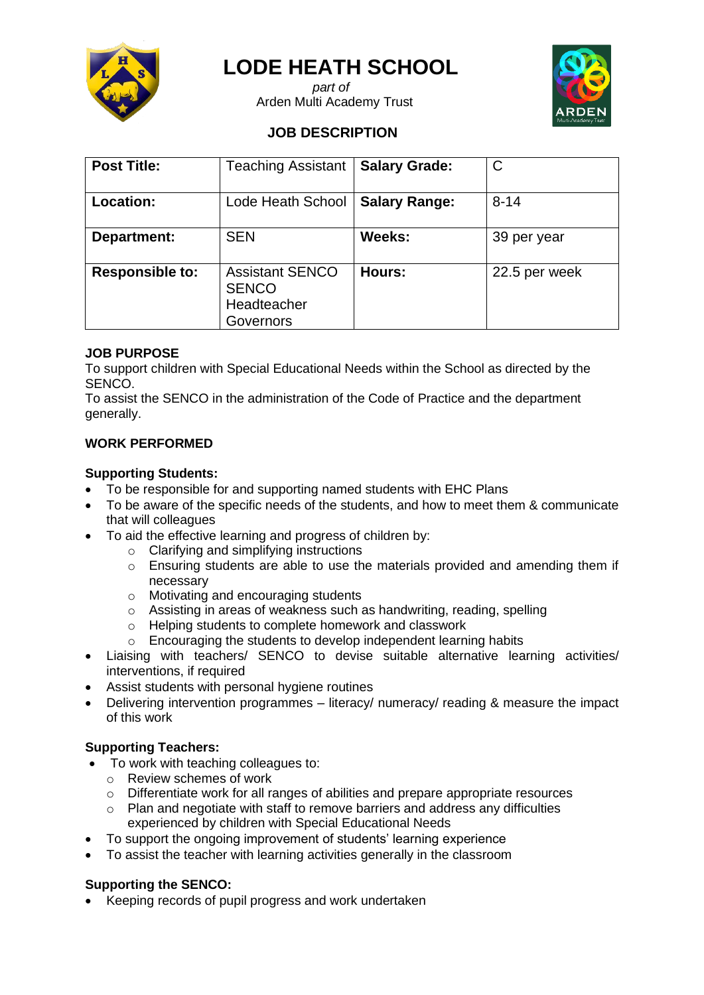

# **LODE HEATH SCHOOL**

 *part of* Arden Multi Academy Trust



# **JOB DESCRIPTION**

| <b>Post Title:</b>     | <b>Teaching Assistant</b>                                          | <b>Salary Grade:</b> | $\mathsf{C}$  |
|------------------------|--------------------------------------------------------------------|----------------------|---------------|
| <b>Location:</b>       | Lode Heath School                                                  | <b>Salary Range:</b> | $8 - 14$      |
| Department:            | <b>SEN</b>                                                         | Weeks:               | 39 per year   |
| <b>Responsible to:</b> | <b>Assistant SENCO</b><br><b>SENCO</b><br>Headteacher<br>Governors | Hours:               | 22.5 per week |

# **JOB PURPOSE**

To support children with Special Educational Needs within the School as directed by the SENCO.

To assist the SENCO in the administration of the Code of Practice and the department generally.

# **WORK PERFORMED**

#### **Supporting Students:**

- To be responsible for and supporting named students with EHC Plans
- To be aware of the specific needs of the students, and how to meet them & communicate that will colleagues
- To aid the effective learning and progress of children by:
	- o Clarifying and simplifying instructions
	- o Ensuring students are able to use the materials provided and amending them if necessary
	- o Motivating and encouraging students
	- o Assisting in areas of weakness such as handwriting, reading, spelling
	- o Helping students to complete homework and classwork
	- o Encouraging the students to develop independent learning habits
- Liaising with teachers/ SENCO to devise suitable alternative learning activities/ interventions, if required
- Assist students with personal hygiene routines
- Delivering intervention programmes literacy/ numeracy/ reading & measure the impact of this work

# **Supporting Teachers:**

- To work with teaching colleagues to:
	- o Review schemes of work
	- o Differentiate work for all ranges of abilities and prepare appropriate resources
	- o Plan and negotiate with staff to remove barriers and address any difficulties experienced by children with Special Educational Needs
- To support the ongoing improvement of students' learning experience
- To assist the teacher with learning activities generally in the classroom

# **Supporting the SENCO:**

• Keeping records of pupil progress and work undertaken